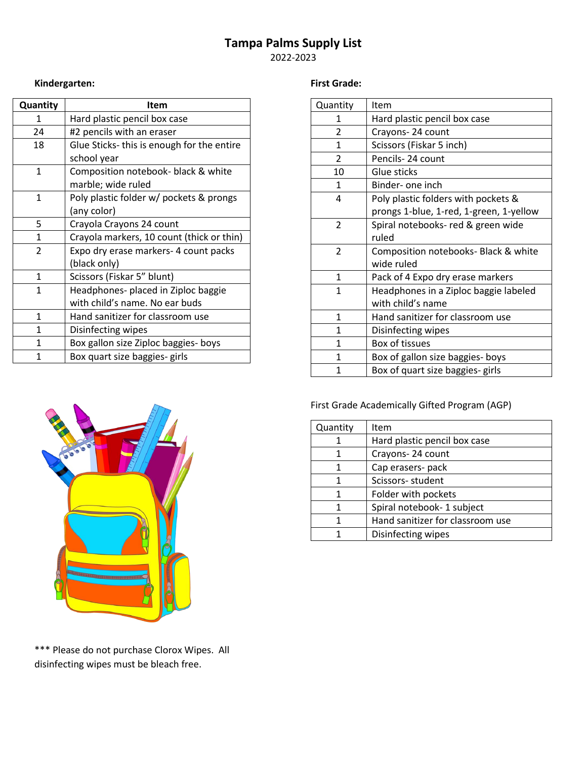# **Tampa Palms Supply List**

2022-2023

## **Kindergarten:**

| Quantity     | <b>Item</b>                               |
|--------------|-------------------------------------------|
| 1            | Hard plastic pencil box case              |
| 24           | #2 pencils with an eraser                 |
| 18           | Glue Sticks-this is enough for the entire |
|              | school year                               |
| $\mathbf{1}$ | Composition notebook- black & white       |
|              | marble; wide ruled                        |
| 1            | Poly plastic folder w/ pockets & prongs   |
|              | (any color)                               |
| 5            | Crayola Crayons 24 count                  |
| 1            | Crayola markers, 10 count (thick or thin) |
| 2            | Expo dry erase markers- 4 count packs     |
|              | (black only)                              |
| $\mathbf{1}$ | Scissors (Fiskar 5" blunt)                |
| 1            | Headphones- placed in Ziploc baggie       |
|              | with child's name. No ear buds            |
| 1            | Hand sanitizer for classroom use          |
| 1            | Disinfecting wipes                        |
| 1            | Box gallon size Ziploc baggies- boys      |
| 1            | Box quart size baggies- girls             |



\*\*\* Please do not purchase Clorox Wipes. All disinfecting wipes must be bleach free.

#### **First Grade:**

| Quantity       | Item                                    |
|----------------|-----------------------------------------|
| 1              | Hard plastic pencil box case            |
| 2              | Crayons-24 count                        |
| $\mathbf{1}$   | Scissors (Fiskar 5 inch)                |
| $\overline{2}$ | Pencils-24 count                        |
| 10             | Glue sticks                             |
| $\mathbf{1}$   | Binder- one inch                        |
| 4              | Poly plastic folders with pockets &     |
|                | prongs 1-blue, 1-red, 1-green, 1-yellow |
| $\overline{2}$ | Spiral notebooks- red & green wide      |
|                | ruled                                   |
| $\overline{2}$ | Composition notebooks- Black & white    |
|                | wide ruled                              |
| $\mathbf{1}$   | Pack of 4 Expo dry erase markers        |
| $\mathbf{1}$   | Headphones in a Ziploc baggie labeled   |
|                | with child's name                       |
| $\mathbf{1}$   | Hand sanitizer for classroom use        |
| 1              | Disinfecting wipes                      |
| $\mathbf{1}$   | Box of tissues                          |
| 1              | Box of gallon size baggies- boys        |
| 1              | Box of quart size baggies- girls        |

## First Grade Academically Gifted Program (AGP)

| Quantity | Item                             |
|----------|----------------------------------|
|          | Hard plastic pencil box case     |
|          | Crayons-24 count                 |
| 1        | Cap erasers- pack                |
| 1        | Scissors-student                 |
| 1        | Folder with pockets              |
| 1        | Spiral notebook- 1 subject       |
|          | Hand sanitizer for classroom use |
|          | Disinfecting wipes               |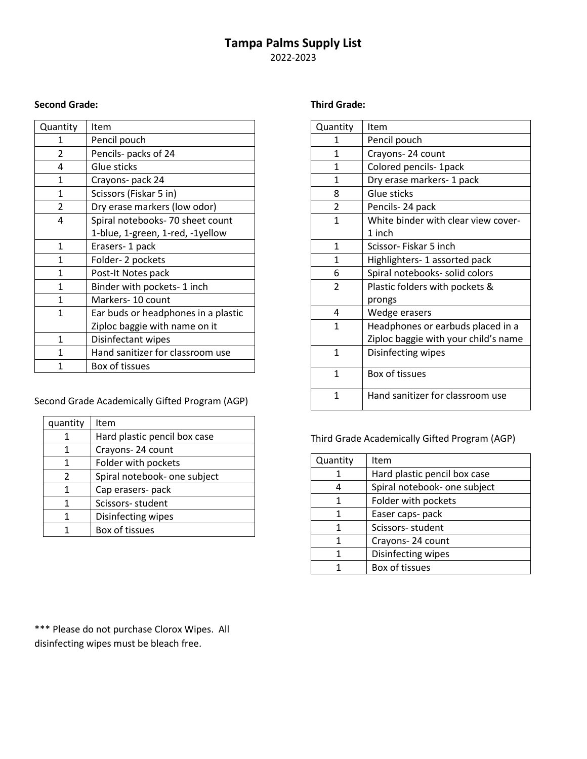# **Tampa Palms Supply List**

2022-2023

#### **Second Grade:**

| Quantity     | Item                                |
|--------------|-------------------------------------|
| 1            | Pencil pouch                        |
| 2            | Pencils- packs of 24                |
| 4            | Glue sticks                         |
| 1            | Crayons- pack 24                    |
| $\mathbf{1}$ | Scissors (Fiskar 5 in)              |
| 2            | Dry erase markers (low odor)        |
| 4            | Spiral notebooks-70 sheet count     |
|              | 1-blue, 1-green, 1-red, -1yellow    |
| 1            | Erasers-1 pack                      |
| $\mathbf{1}$ | Folder-2 pockets                    |
| $\mathbf{1}$ | Post-It Notes pack                  |
| $\mathbf{1}$ | Binder with pockets- 1 inch         |
| $\mathbf{1}$ | Markers- 10 count                   |
| $\mathbf{1}$ | Ear buds or headphones in a plastic |
|              | Ziploc baggie with name on it       |
| 1            | Disinfectant wipes                  |
| 1            | Hand sanitizer for classroom use    |
|              | Box of tissues                      |

Second Grade Academically Gifted Program (AGP)

| quantity                 | Item                         |
|--------------------------|------------------------------|
|                          | Hard plastic pencil box case |
| 1                        | Crayons-24 count             |
| 1                        | Folder with pockets          |
| $\overline{\phantom{a}}$ | Spiral notebook- one subject |
| 1                        | Cap erasers- pack            |
| 1                        | Scissors-student             |
| 1                        | Disinfecting wipes           |
|                          | Box of tissues               |

\*\*\* Please do not purchase Clorox Wipes. All disinfecting wipes must be bleach free.

#### **Third Grade:**

| Quantity       | Item                                 |
|----------------|--------------------------------------|
| 1              | Pencil pouch                         |
| $\mathbf{1}$   | Crayons-24 count                     |
| 1              | Colored pencils- 1pack               |
| 1              | Dry erase markers- 1 pack            |
| 8              | Glue sticks                          |
| $\overline{2}$ | Pencils-24 pack                      |
| $\mathbf{1}$   | White binder with clear view cover-  |
|                | 1 inch                               |
| $\mathbf{1}$   | Scissor-Fiskar 5 inch                |
| $\mathbf{1}$   | Highlighters- 1 assorted pack        |
| 6              | Spiral notebooks- solid colors       |
| $\overline{2}$ | Plastic folders with pockets &       |
|                | prongs                               |
| 4              | Wedge erasers                        |
| 1              | Headphones or earbuds placed in a    |
|                | Ziploc baggie with your child's name |
| 1              | Disinfecting wipes                   |
|                |                                      |
| $\mathbf{1}$   | <b>Box of tissues</b>                |
| 1              | Hand sanitizer for classroom use     |

Third Grade Academically Gifted Program (AGP)

| Quantity | Item                         |
|----------|------------------------------|
|          | Hard plastic pencil box case |
|          | Spiral notebook- one subject |
|          | Folder with pockets          |
|          | Easer caps- pack             |
|          | Scissors-student             |
|          | Crayons-24 count             |
|          | Disinfecting wipes           |
|          | Box of tissues               |